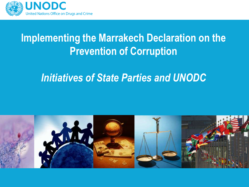

# **Implementing the Marrakech Declaration on the Prevention of Corruption**

## *Initiatives of State Parties and UNODC*

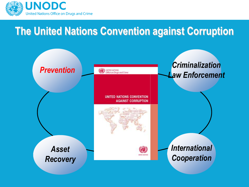

# **The United Nations Convention against Corruption**

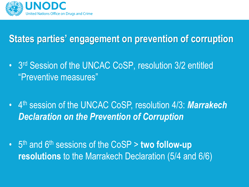

# **States parties' engagement on prevention of corruption**

- 3<sup>rd</sup> Session of the UNCAC CoSP, resolution 3/2 entitled "Preventive measures"
- 4 th session of the UNCAC CoSP, resolution 4/3: *Marrakech Declaration on the Prevention of Corruption*
- 5<sup>th</sup> and 6<sup>th</sup> sessions of the CoSP > **two follow-up resolutions** to the Marrakech Declaration (5/4 and 6/6)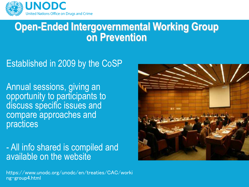

### **Open-Ended Intergovernmental Working Group on Prevention**

#### Established in 2009 by the CoSP

Annual sessions, giving an opportunity to participants to discuss specific issues and compare approaches and practices

- All info shared is compiled and available on the website



https://www.unodc.org/unodc/en/treaties/CAC/worki ng-group4.html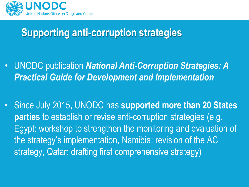

# **Supporting anti-corruption strategies**

- UNODC publication *National Anti-Corruption Strategies: A Practical Guide for Development and Implementation*
- Since July 2015, UNODC has **supported more than 20 States parties** to establish or revise anti-corruption strategies (e.g. Egypt: workshop to strengthen the monitoring and evaluation of the strategy's implementation, Namibia: revision of the AC strategy, Qatar: drafting first comprehensive strategy)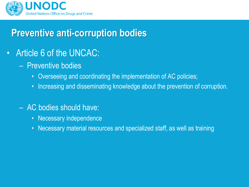

## **Preventive anti-corruption bodies**

- Article 6 of the UNCAC:
	- Preventive bodies
		- Overseeing and coordinating the implementation of AC policies;
		- Increasing and disseminating knowledge about the prevention of corruption.
	- AC bodies should have:
		- Necessary independence
		- Necessary material resources and specialized staff, as well as training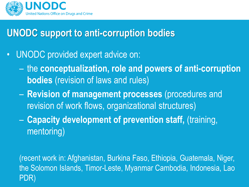

## **UNODC support to anti-corruption bodies**

- UNODC provided expert advice on:
	- the **conceptualization, role and powers of anti-corruption bodies** (revision of laws and rules)
	- **Revision of management processes** (procedures and revision of work flows, organizational structures)
	- **Capacity development of prevention staff,** (training, mentoring)

(recent work in: Afghanistan, Burkina Faso, Ethiopia, Guatemala, Niger, the Solomon Islands, Timor-Leste, Myanmar Cambodia, Indonesia, Lao PDR)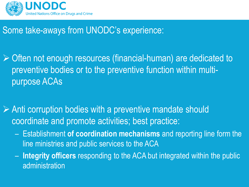

#### Some take-aways from UNODC's experience:

 $\triangleright$  Often not enough resources (financial-human) are dedicated to preventive bodies or to the preventive function within multipurpose ACAs

 $\triangleright$  Anti corruption bodies with a preventive mandate should coordinate and promote activities; best practice:

- Establishment **of coordination mechanisms** and reporting line form the line ministries and public services to the ACA
- **Integrity officers** responding to the ACA but integrated within the public administration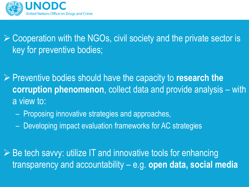

### $\triangleright$  Cooperation with the NGOs, civil society and the private sector is key for preventive bodies;

 Preventive bodies should have the capacity to **research the corruption phenomenon**, collect data and provide analysis – with a view to:

- Proposing innovative strategies and approaches,
- Developing impact evaluation frameworks for AC strategies

 $\triangleright$  Be tech savvy: utilize IT and innovative tools for enhancing transparency and accountability – e.g. **open data, social media**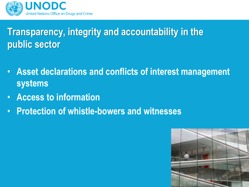

# **Transparency, integrity and accountability in the public sector**

- **Asset declarations and conflicts of interest management systems**
- **Access to information**
- **Protection of whistle-bowers and witnesses**

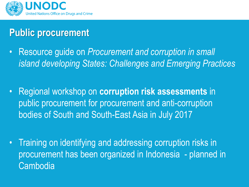

# **Public procurement**

- Resource guide on *Procurement and corruption in small island developing States: Challenges and Emerging Practices*
- Regional workshop on **corruption risk assessments** in public procurement for procurement and anti-corruption bodies of South and South-East Asia in July 2017
- Training on identifying and addressing corruption risks in procurement has been organized in Indonesia - planned in Cambodia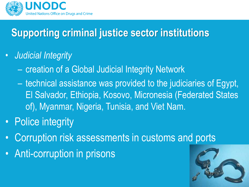

# **Supporting criminal justice sector institutions**

#### • *Judicial Integrity*

- creation of a Global Judicial Integrity Network
- technical assistance was provided to the judiciaries of Egypt, El Salvador, Ethiopia, Kosovo, Micronesia (Federated States of), Myanmar, Nigeria, Tunisia, and Viet Nam.
- Police integrity
- Corruption risk assessments in customs and ports
- Anti-corruption in prisons

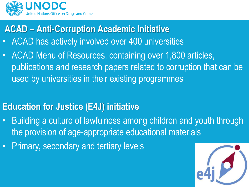

**ACAD – Anti-Corruption Academic Initiative**

- ACAD has actively involved over 400 universities
- ACAD Menu of Resources, containing over 1,800 articles, publications and research papers related to corruption that can be used by universities in their existing programmes

#### **Education for Justice (E4J) initiative**

- Building a culture of lawfulness among children and youth through the provision of age-appropriate educational materials
- Primary, secondary and tertiary levels